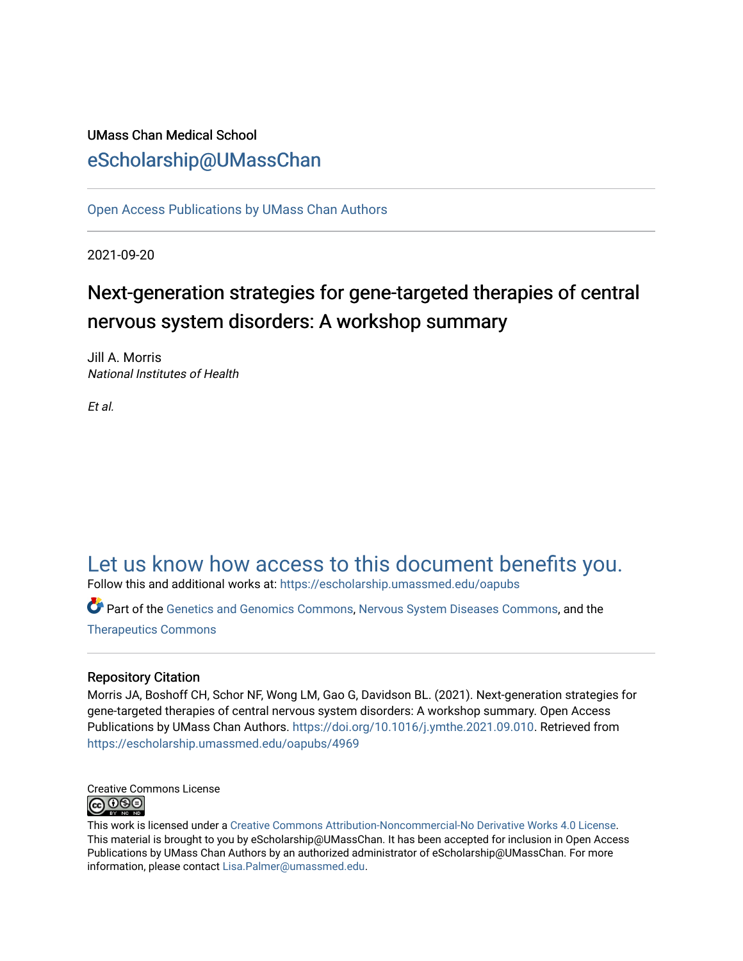# UMass Chan Medical School [eScholarship@UMassChan](https://escholarship.umassmed.edu/)

[Open Access Publications by UMass Chan Authors](https://escholarship.umassmed.edu/oapubs) 

2021-09-20

# Next-generation strategies for gene-targeted therapies of central nervous system disorders: A workshop summary

Jill A. Morris National Institutes of Health

Et al.

# [Let us know how access to this document benefits you.](https://arcsapps.umassmed.edu/redcap/surveys/?s=XWRHNF9EJE)

Follow this and additional works at: [https://escholarship.umassmed.edu/oapubs](https://escholarship.umassmed.edu/oapubs?utm_source=escholarship.umassmed.edu%2Foapubs%2F4969&utm_medium=PDF&utm_campaign=PDFCoverPages) 

Part of the [Genetics and Genomics Commons](https://network.bepress.com/hgg/discipline/27?utm_source=escholarship.umassmed.edu%2Foapubs%2F4969&utm_medium=PDF&utm_campaign=PDFCoverPages), [Nervous System Diseases Commons,](https://network.bepress.com/hgg/discipline/928?utm_source=escholarship.umassmed.edu%2Foapubs%2F4969&utm_medium=PDF&utm_campaign=PDFCoverPages) and the [Therapeutics Commons](https://network.bepress.com/hgg/discipline/993?utm_source=escholarship.umassmed.edu%2Foapubs%2F4969&utm_medium=PDF&utm_campaign=PDFCoverPages)

# Repository Citation

Morris JA, Boshoff CH, Schor NF, Wong LM, Gao G, Davidson BL. (2021). Next-generation strategies for gene-targeted therapies of central nervous system disorders: A workshop summary. Open Access Publications by UMass Chan Authors.<https://doi.org/10.1016/j.ymthe.2021.09.010>. Retrieved from [https://escholarship.umassmed.edu/oapubs/4969](https://escholarship.umassmed.edu/oapubs/4969?utm_source=escholarship.umassmed.edu%2Foapubs%2F4969&utm_medium=PDF&utm_campaign=PDFCoverPages)



This work is licensed under a [Creative Commons Attribution-Noncommercial-No Derivative Works 4.0 License.](http://creativecommons.org/licenses/by-nc-nd/4.0/) This material is brought to you by eScholarship@UMassChan. It has been accepted for inclusion in Open Access Publications by UMass Chan Authors by an authorized administrator of eScholarship@UMassChan. For more information, please contact [Lisa.Palmer@umassmed.edu.](mailto:Lisa.Palmer@umassmed.edu)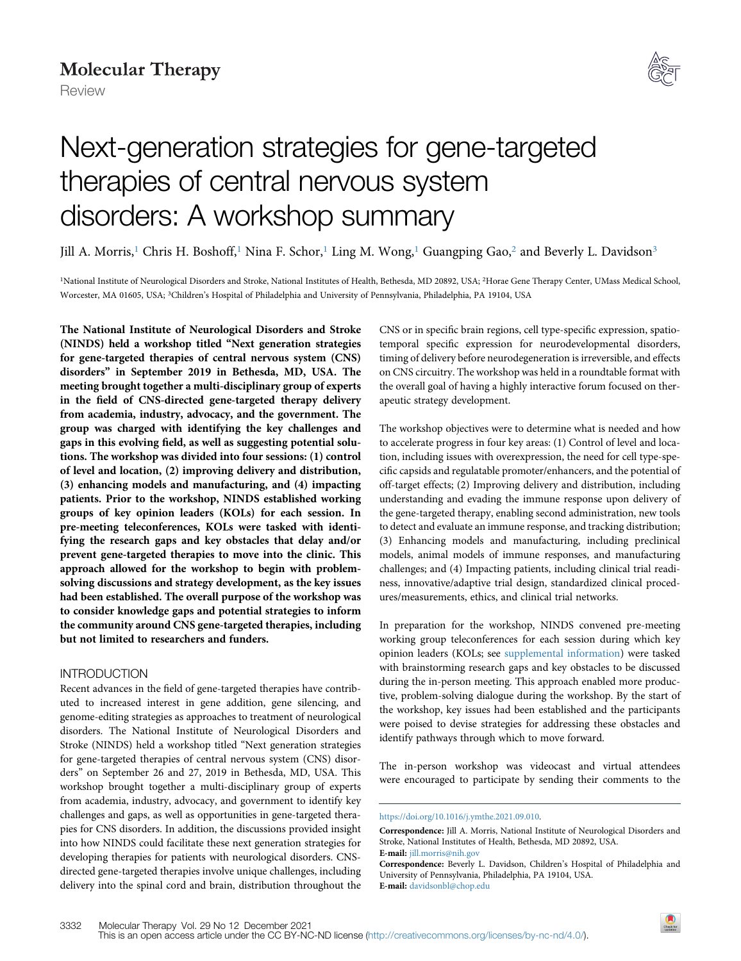

# Next-generation strategies for gene-targeted therapies of central nervous system disorders: A workshop summary

Jill A. Morris,<sup>[1](#page-1-0)</sup> Chris H. Boshoff,<sup>1</sup> Nina F. Schor,<sup>1</sup> Ling M. Wong,<sup>1</sup> Guangping Gao,<sup>2</sup> and Beverly L. Davidson<sup>3</sup>

<span id="page-1-1"></span><span id="page-1-0"></span><sup>1</sup>National Institute of Neurological Disorders and Stroke, National Institutes of Health, Bethesda, MD 20892, USA; <sup>2</sup>Horae Gene Therapy Center, UMass Medical School, Worcester, MA 01605, USA; 3Children's Hospital of Philadelphia and University of Pennsylvania, Philadelphia, PA 19104, USA

The National Institute of Neurological Disorders and Stroke (NINDS) held a workshop titled "Next generation strategies for gene-targeted therapies of central nervous system (CNS) disorders" in September 2019 in Bethesda, MD, USA. The meeting brought together a multi-disciplinary group of experts in the field of CNS-directed gene-targeted therapy delivery from academia, industry, advocacy, and the government. The group was charged with identifying the key challenges and gaps in this evolving field, as well as suggesting potential solutions. The workshop was divided into four sessions: (1) control of level and location, (2) improving delivery and distribution, (3) enhancing models and manufacturing, and (4) impacting patients. Prior to the workshop, NINDS established working groups of key opinion leaders (KOLs) for each session. In pre-meeting teleconferences, KOLs were tasked with identifying the research gaps and key obstacles that delay and/or prevent gene-targeted therapies to move into the clinic. This approach allowed for the workshop to begin with problemsolving discussions and strategy development, as the key issues had been established. The overall purpose of the workshop was to consider knowledge gaps and potential strategies to inform the community around CNS gene-targeted therapies, including but not limited to researchers and funders.

# **INTRODUCTION**

Recent advances in the field of gene-targeted therapies have contributed to increased interest in gene addition, gene silencing, and genome-editing strategies as approaches to treatment of neurological disorders. The National Institute of Neurological Disorders and Stroke (NINDS) held a workshop titled "Next generation strategies for gene-targeted therapies of central nervous system (CNS) disorders" on September 26 and 27, 2019 in Bethesda, MD, USA. This workshop brought together a multi-disciplinary group of experts from academia, industry, advocacy, and government to identify key challenges and gaps, as well as opportunities in gene-targeted therapies for CNS disorders. In addition, the discussions provided insight into how NINDS could facilitate these next generation strategies for developing therapies for patients with neurological disorders. CNSdirected gene-targeted therapies involve unique challenges, including delivery into the spinal cord and brain, distribution throughout the

CNS or in specific brain regions, cell type-specific expression, spatiotemporal specific expression for neurodevelopmental disorders, timing of delivery before neurodegeneration is irreversible, and effects on CNS circuitry. The workshop was held in a roundtable format with the overall goal of having a highly interactive forum focused on therapeutic strategy development.

The workshop objectives were to determine what is needed and how to accelerate progress in four key areas: (1) Control of level and location, including issues with overexpression, the need for cell type-specific capsids and regulatable promoter/enhancers, and the potential of off-target effects; (2) Improving delivery and distribution, including understanding and evading the immune response upon delivery of the gene-targeted therapy, enabling second administration, new tools to detect and evaluate an immune response, and tracking distribution; (3) Enhancing models and manufacturing, including preclinical models, animal models of immune responses, and manufacturing challenges; and (4) Impacting patients, including clinical trial readiness, innovative/adaptive trial design, standardized clinical procedures/measurements, ethics, and clinical trial networks.

In preparation for the workshop, NINDS convened pre-meeting working group teleconferences for each session during which key opinion leaders (KOLs; see [supplemental information](#page-12-0)) were tasked with brainstorming research gaps and key obstacles to be discussed during the in-person meeting. This approach enabled more productive, problem-solving dialogue during the workshop. By the start of the workshop, key issues had been established and the participants were poised to devise strategies for addressing these obstacles and identify pathways through which to move forward.

The in-person workshop was videocast and virtual attendees were encouraged to participate by sending their comments to the

E-mail: [jill.morris@nih.gov](mailto:jill.morris@nih.gov)

E-mail: [davidsonbl@chop.edu](mailto:davidsonbl@chop.edu)

<https://doi.org/10.1016/j.ymthe.2021.09.010>.

Correspondence: Jill A. Morris, National Institute of Neurological Disorders and Stroke, National Institutes of Health, Bethesda, MD 20892, USA.

Correspondence: Beverly L. Davidson, Children's Hospital of Philadelphia and University of Pennsylvania, Philadelphia, PA 19104, USA.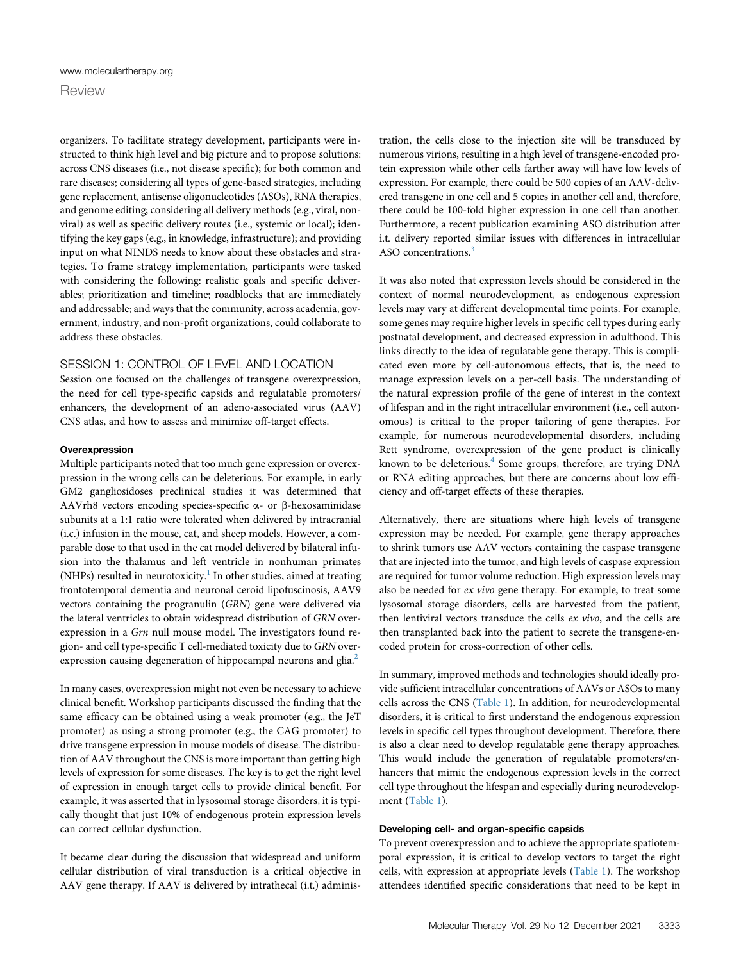organizers. To facilitate strategy development, participants were instructed to think high level and big picture and to propose solutions: across CNS diseases (i.e., not disease specific); for both common and rare diseases; considering all types of gene-based strategies, including gene replacement, antisense oligonucleotides (ASOs), RNA therapies, and genome editing; considering all delivery methods (e.g., viral, nonviral) as well as specific delivery routes (i.e., systemic or local); identifying the key gaps (e.g., in knowledge, infrastructure); and providing input on what NINDS needs to know about these obstacles and strategies. To frame strategy implementation, participants were tasked with considering the following: realistic goals and specific deliverables; prioritization and timeline; roadblocks that are immediately and addressable; and ways that the community, across academia, government, industry, and non-profit organizations, could collaborate to address these obstacles.

# <span id="page-2-0"></span>SESSION 1: CONTROL OF LEVEL AND LOCATION

Session one focused on the challenges of transgene overexpression, the need for cell type-specific capsids and regulatable promoters/ enhancers, the development of an adeno-associated virus (AAV) CNS atlas, and how to assess and minimize off-target effects.

### **Overexpression**

Multiple participants noted that too much gene expression or overexpression in the wrong cells can be deleterious. For example, in early GM2 gangliosidoses preclinical studies it was determined that AAVrh8 vectors encoding species-specific  $\alpha$ - or  $\beta$ -hexosaminidase subunits at a 1:1 ratio were tolerated when delivered by intracranial (i.c.) infusion in the mouse, cat, and sheep models. However, a comparable dose to that used in the cat model delivered by bilateral infusion into the thalamus and left ventricle in nonhuman primates (NHPs) resulted in neurotoxicity.<sup>[1](#page-12-1)</sup> In other studies, aimed at treating frontotemporal dementia and neuronal ceroid lipofuscinosis, AAV9 vectors containing the progranulin (GRN) gene were delivered via the lateral ventricles to obtain widespread distribution of GRN overexpression in a Grn null mouse model. The investigators found region- and cell type-specific T cell-mediated toxicity due to GRN over-expression causing degeneration of hippocampal neurons and glia.<sup>[2](#page-12-2)</sup>

In many cases, overexpression might not even be necessary to achieve clinical benefit. Workshop participants discussed the finding that the same efficacy can be obtained using a weak promoter (e.g., the JeT promoter) as using a strong promoter (e.g., the CAG promoter) to drive transgene expression in mouse models of disease. The distribution of AAV throughout the CNS is more important than getting high levels of expression for some diseases. The key is to get the right level of expression in enough target cells to provide clinical benefit. For example, it was asserted that in lysosomal storage disorders, it is typically thought that just 10% of endogenous protein expression levels can correct cellular dysfunction.

It became clear during the discussion that widespread and uniform cellular distribution of viral transduction is a critical objective in AAV gene therapy. If AAV is delivered by intrathecal (i.t.) adminis-

tration, the cells close to the injection site will be transduced by numerous virions, resulting in a high level of transgene-encoded protein expression while other cells farther away will have low levels of expression. For example, there could be 500 copies of an AAV-delivered transgene in one cell and 5 copies in another cell and, therefore, there could be 100-fold higher expression in one cell than another. Furthermore, a recent publication examining ASO distribution after i.t. delivery reported similar issues with differences in intracellular ASO concentrations.<sup>[3](#page-12-3)</sup>

It was also noted that expression levels should be considered in the context of normal neurodevelopment, as endogenous expression levels may vary at different developmental time points. For example, some genes may require higher levels in specific cell types during early postnatal development, and decreased expression in adulthood. This links directly to the idea of regulatable gene therapy. This is complicated even more by cell-autonomous effects, that is, the need to manage expression levels on a per-cell basis. The understanding of the natural expression profile of the gene of interest in the context of lifespan and in the right intracellular environment (i.e., cell autonomous) is critical to the proper tailoring of gene therapies. For example, for numerous neurodevelopmental disorders, including Rett syndrome, overexpression of the gene product is clinically known to be deleterious. $4$  Some groups, therefore, are trying DNA or RNA editing approaches, but there are concerns about low efficiency and off-target effects of these therapies.

Alternatively, there are situations where high levels of transgene expression may be needed. For example, gene therapy approaches to shrink tumors use AAV vectors containing the caspase transgene that are injected into the tumor, and high levels of caspase expression are required for tumor volume reduction. High expression levels may also be needed for ex vivo gene therapy. For example, to treat some lysosomal storage disorders, cells are harvested from the patient, then lentiviral vectors transduce the cells ex vivo, and the cells are then transplanted back into the patient to secrete the transgene-encoded protein for cross-correction of other cells.

In summary, improved methods and technologies should ideally provide sufficient intracellular concentrations of AAVs or ASOs to many cells across the CNS ([Table 1\)](#page-3-0). In addition, for neurodevelopmental disorders, it is critical to first understand the endogenous expression levels in specific cell types throughout development. Therefore, there is also a clear need to develop regulatable gene therapy approaches. This would include the generation of regulatable promoters/enhancers that mimic the endogenous expression levels in the correct cell type throughout the lifespan and especially during neurodevelopment [\(Table 1\)](#page-3-0).

#### Developing cell- and organ-specific capsids

To prevent overexpression and to achieve the appropriate spatiotemporal expression, it is critical to develop vectors to target the right cells, with expression at appropriate levels [\(Table 1](#page-3-0)). The workshop attendees identified specific considerations that need to be kept in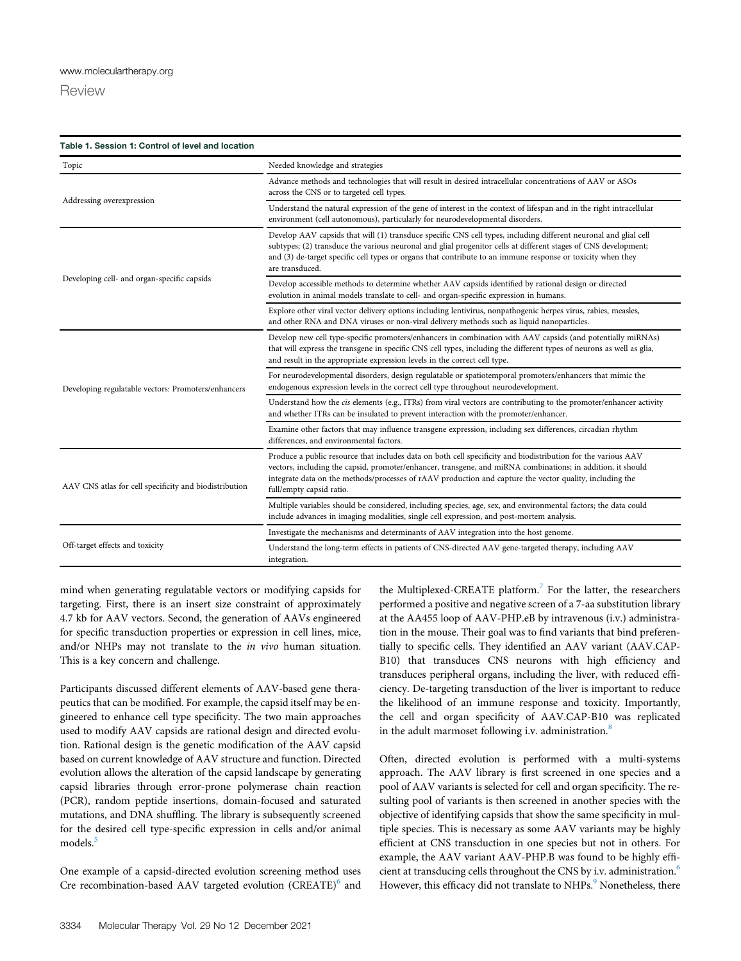<span id="page-3-0"></span>

| Table 1. Session 1: Control of level and location      |                                                                                                                                                                                                                                                                                                                                                                       |  |
|--------------------------------------------------------|-----------------------------------------------------------------------------------------------------------------------------------------------------------------------------------------------------------------------------------------------------------------------------------------------------------------------------------------------------------------------|--|
| Topic                                                  | Needed knowledge and strategies                                                                                                                                                                                                                                                                                                                                       |  |
| Addressing overexpression                              | Advance methods and technologies that will result in desired intracellular concentrations of AAV or ASOs<br>across the CNS or to targeted cell types.                                                                                                                                                                                                                 |  |
|                                                        | Understand the natural expression of the gene of interest in the context of lifespan and in the right intracellular<br>environment (cell autonomous), particularly for neurodevelopmental disorders.                                                                                                                                                                  |  |
| Developing cell- and organ-specific capsids            | Develop AAV capsids that will (1) transduce specific CNS cell types, including different neuronal and glial cell<br>subtypes; (2) transduce the various neuronal and glial progenitor cells at different stages of CNS development;<br>and (3) de-target specific cell types or organs that contribute to an immune response or toxicity when they<br>are transduced. |  |
|                                                        | Develop accessible methods to determine whether AAV capsids identified by rational design or directed<br>evolution in animal models translate to cell- and organ-specific expression in humans.                                                                                                                                                                       |  |
|                                                        | Explore other viral vector delivery options including lentivirus, nonpathogenic herpes virus, rabies, measles,<br>and other RNA and DNA viruses or non-viral delivery methods such as liquid nanoparticles.                                                                                                                                                           |  |
| Developing regulatable vectors: Promoters/enhancers    | Develop new cell type-specific promoters/enhancers in combination with AAV capsids (and potentially miRNAs)<br>that will express the transgene in specific CNS cell types, including the different types of neurons as well as glia,<br>and result in the appropriate expression levels in the correct cell type.                                                     |  |
|                                                        | For neurodevelopmental disorders, design regulatable or spatiotemporal promoters/enhancers that mimic the<br>endogenous expression levels in the correct cell type throughout neurodevelopment.                                                                                                                                                                       |  |
|                                                        | Understand how the cis elements (e.g., ITRs) from viral vectors are contributing to the promoter/enhancer activity<br>and whether ITRs can be insulated to prevent interaction with the promoter/enhancer.                                                                                                                                                            |  |
|                                                        | Examine other factors that may influence transgene expression, including sex differences, circadian rhythm<br>differences, and environmental factors.                                                                                                                                                                                                                 |  |
| AAV CNS atlas for cell specificity and biodistribution | Produce a public resource that includes data on both cell specificity and biodistribution for the various AAV<br>vectors, including the capsid, promoter/enhancer, transgene, and miRNA combinations; in addition, it should<br>integrate data on the methods/processes of rAAV production and capture the vector quality, including the<br>full/empty capsid ratio.  |  |
|                                                        | Multiple variables should be considered, including species, age, sex, and environmental factors; the data could<br>include advances in imaging modalities, single cell expression, and post-mortem analysis.                                                                                                                                                          |  |
| Off-target effects and toxicity                        | Investigate the mechanisms and determinants of AAV integration into the host genome.                                                                                                                                                                                                                                                                                  |  |
|                                                        | Understand the long-term effects in patients of CNS-directed AAV gene-targeted therapy, including AAV<br>integration.                                                                                                                                                                                                                                                 |  |

mind when generating regulatable vectors or modifying capsids for targeting. First, there is an insert size constraint of approximately 4.7 kb for AAV vectors. Second, the generation of AAVs engineered for specific transduction properties or expression in cell lines, mice, and/or NHPs may not translate to the in vivo human situation. This is a key concern and challenge.

Participants discussed different elements of AAV-based gene therapeutics that can be modified. For example, the capsid itself may be engineered to enhance cell type specificity. The two main approaches used to modify AAV capsids are rational design and directed evolution. Rational design is the genetic modification of the AAV capsid based on current knowledge of AAV structure and function. Directed evolution allows the alteration of the capsid landscape by generating capsid libraries through error-prone polymerase chain reaction (PCR), random peptide insertions, domain-focused and saturated mutations, and DNA shuffling. The library is subsequently screened for the desired cell type-specific expression in cells and/or animal models.<sup>[5](#page-12-5)</sup>

One example of a capsid-directed evolution screening method uses Cre recombination-based AAV targeted evolution (CREATE)<sup>[6](#page-12-6)</sup> and

the Multiplexed-CREATE platform.<sup>7</sup> For the latter, the researchers performed a positive and negative screen of a 7-aa substitution library at the AA455 loop of AAV-PHP.eB by intravenous (i.v.) administration in the mouse. Their goal was to find variants that bind preferentially to specific cells. They identified an AAV variant (AAV.CAP-B10) that transduces CNS neurons with high efficiency and transduces peripheral organs, including the liver, with reduced efficiency. De-targeting transduction of the liver is important to reduce the likelihood of an immune response and toxicity. Importantly, the cell and organ specificity of AAV.CAP-B10 was replicated in the adult marmoset following i.v. administration.<sup>[8](#page-12-8)</sup>

Often, directed evolution is performed with a multi-systems approach. The AAV library is first screened in one species and a pool of AAV variants is selected for cell and organ specificity. The resulting pool of variants is then screened in another species with the objective of identifying capsids that show the same specificity in multiple species. This is necessary as some AAV variants may be highly efficient at CNS transduction in one species but not in others. For example, the AAV variant AAV-PHP.B was found to be highly effi-cient at transducing cells throughout the CNS by i.v. administration.<sup>[6](#page-12-6)</sup> However, this efficacy did not translate to NHPs.<sup>[9](#page-12-9)</sup> Nonetheless, there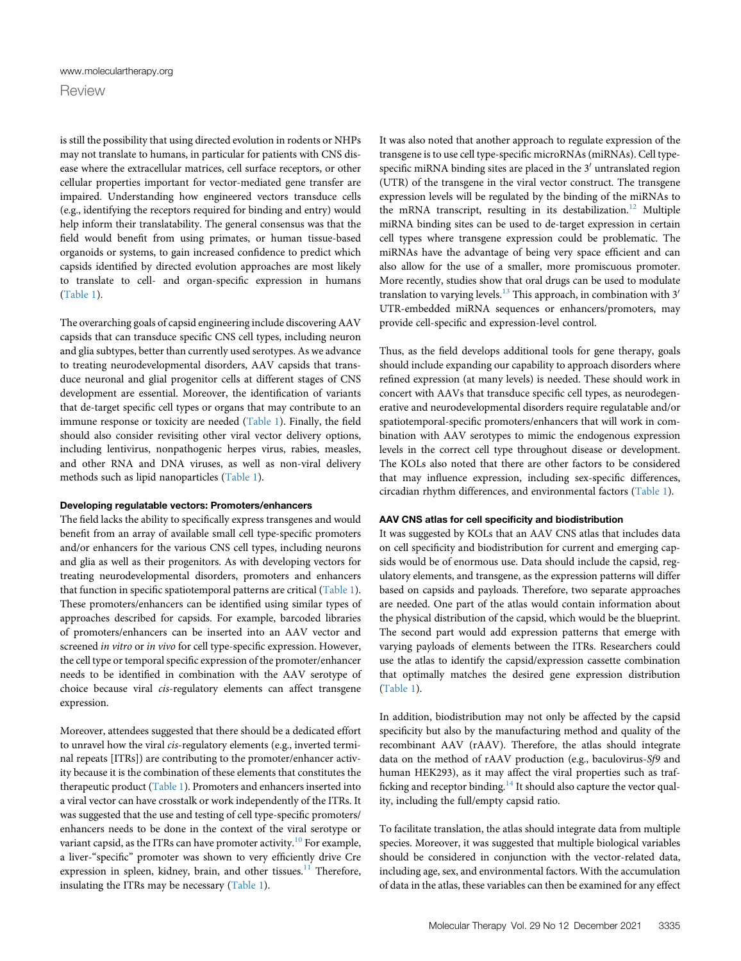is still the possibility that using directed evolution in rodents or NHPs may not translate to humans, in particular for patients with CNS disease where the extracellular matrices, cell surface receptors, or other cellular properties important for vector-mediated gene transfer are impaired. Understanding how engineered vectors transduce cells (e.g., identifying the receptors required for binding and entry) would help inform their translatability. The general consensus was that the field would benefit from using primates, or human tissue-based organoids or systems, to gain increased confidence to predict which capsids identified by directed evolution approaches are most likely to translate to cell- and organ-specific expression in humans ([Table 1\)](#page-3-0).

The overarching goals of capsid engineering include discovering AAV capsids that can transduce specific CNS cell types, including neuron and glia subtypes, better than currently used serotypes. As we advance to treating neurodevelopmental disorders, AAV capsids that transduce neuronal and glial progenitor cells at different stages of CNS development are essential. Moreover, the identification of variants that de-target specific cell types or organs that may contribute to an immune response or toxicity are needed ([Table 1\)](#page-3-0). Finally, the field should also consider revisiting other viral vector delivery options, including lentivirus, nonpathogenic herpes virus, rabies, measles, and other RNA and DNA viruses, as well as non-viral delivery methods such as lipid nanoparticles [\(Table 1\)](#page-3-0).

#### Developing regulatable vectors: Promoters/enhancers

The field lacks the ability to specifically express transgenes and would benefit from an array of available small cell type-specific promoters and/or enhancers for the various CNS cell types, including neurons and glia as well as their progenitors. As with developing vectors for treating neurodevelopmental disorders, promoters and enhancers that function in specific spatiotemporal patterns are critical ([Table 1\)](#page-3-0). These promoters/enhancers can be identified using similar types of approaches described for capsids. For example, barcoded libraries of promoters/enhancers can be inserted into an AAV vector and screened in vitro or in vivo for cell type-specific expression. However, the cell type or temporal specific expression of the promoter/enhancer needs to be identified in combination with the AAV serotype of choice because viral cis-regulatory elements can affect transgene expression.

Moreover, attendees suggested that there should be a dedicated effort to unravel how the viral cis-regulatory elements (e.g., inverted terminal repeats [ITRs]) are contributing to the promoter/enhancer activity because it is the combination of these elements that constitutes the therapeutic product ([Table 1\)](#page-3-0). Promoters and enhancers inserted into a viral vector can have crosstalk or work independently of the ITRs. It was suggested that the use and testing of cell type-specific promoters/ enhancers needs to be done in the context of the viral serotype or variant capsid, as the ITRs can have promoter activity.<sup>[10](#page-12-10)</sup> For example, a liver-"specific" promoter was shown to very efficiently drive Cre expression in spleen, kidney, brain, and other tissues. $11$  Therefore, insulating the ITRs may be necessary [\(Table 1\)](#page-3-0).

It was also noted that another approach to regulate expression of the transgene is to use cell type-specific microRNAs (miRNAs). Cell typespecific miRNA binding sites are placed in the  $3'$  untranslated region (UTR) of the transgene in the viral vector construct. The transgene expression levels will be regulated by the binding of the miRNAs to the mRNA transcript, resulting in its destabilization.<sup>[12](#page-12-12)</sup> Multiple miRNA binding sites can be used to de-target expression in certain cell types where transgene expression could be problematic. The miRNAs have the advantage of being very space efficient and can also allow for the use of a smaller, more promiscuous promoter. More recently, studies show that oral drugs can be used to modulate translation to varying levels.<sup>[13](#page-12-13)</sup> This approach, in combination with 3' UTR-embedded miRNA sequences or enhancers/promoters, may provide cell-specific and expression-level control.

Thus, as the field develops additional tools for gene therapy, goals should include expanding our capability to approach disorders where refined expression (at many levels) is needed. These should work in concert with AAVs that transduce specific cell types, as neurodegenerative and neurodevelopmental disorders require regulatable and/or spatiotemporal-specific promoters/enhancers that will work in combination with AAV serotypes to mimic the endogenous expression levels in the correct cell type throughout disease or development. The KOLs also noted that there are other factors to be considered that may influence expression, including sex-specific differences, circadian rhythm differences, and environmental factors [\(Table 1\)](#page-3-0).

#### AAV CNS atlas for cell specificity and biodistribution

It was suggested by KOLs that an AAV CNS atlas that includes data on cell specificity and biodistribution for current and emerging capsids would be of enormous use. Data should include the capsid, regulatory elements, and transgene, as the expression patterns will differ based on capsids and payloads. Therefore, two separate approaches are needed. One part of the atlas would contain information about the physical distribution of the capsid, which would be the blueprint. The second part would add expression patterns that emerge with varying payloads of elements between the ITRs. Researchers could use the atlas to identify the capsid/expression cassette combination that optimally matches the desired gene expression distribution ([Table 1\)](#page-3-0).

In addition, biodistribution may not only be affected by the capsid specificity but also by the manufacturing method and quality of the recombinant AAV (rAAV). Therefore, the atlas should integrate data on the method of rAAV production (e.g., baculovirus-Sf9 and human HEK293), as it may affect the viral properties such as traf-ficking and receptor binding.<sup>[14](#page-12-14)</sup> It should also capture the vector quality, including the full/empty capsid ratio.

To facilitate translation, the atlas should integrate data from multiple species. Moreover, it was suggested that multiple biological variables should be considered in conjunction with the vector-related data, including age, sex, and environmental factors. With the accumulation of data in the atlas, these variables can then be examined for any effect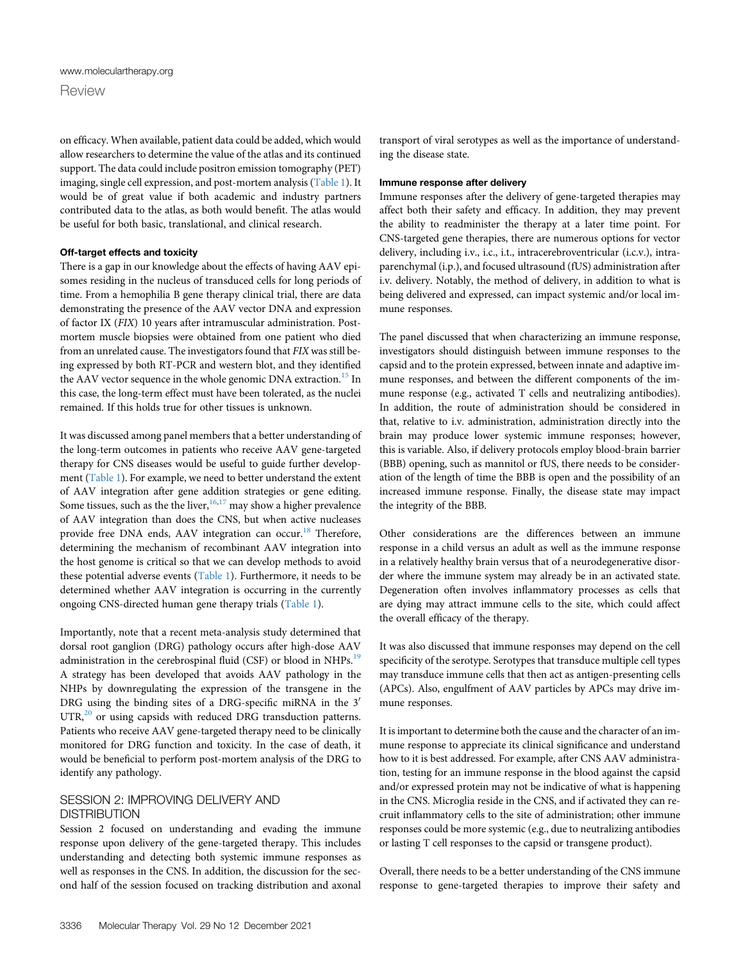on efficacy. When available, patient data could be added, which would allow researchers to determine the value of the atlas and its continued support. The data could include positron emission tomography (PET) imaging, single cell expression, and post-mortem analysis ([Table 1\)](#page-3-0). It would be of great value if both academic and industry partners contributed data to the atlas, as both would benefit. The atlas would be useful for both basic, translational, and clinical research.

#### Off-target effects and toxicity

There is a gap in our knowledge about the effects of having AAV episomes residing in the nucleus of transduced cells for long periods of time. From a hemophilia B gene therapy clinical trial, there are data demonstrating the presence of the AAV vector DNA and expression of factor IX (FIX) 10 years after intramuscular administration. Postmortem muscle biopsies were obtained from one patient who died from an unrelated cause. The investigators found that FIX was still being expressed by both RT-PCR and western blot, and they identified the AAV vector sequence in the whole genomic DNA extraction.<sup>[15](#page-12-15)</sup> In this case, the long-term effect must have been tolerated, as the nuclei remained. If this holds true for other tissues is unknown.

It was discussed among panel members that a better understanding of the long-term outcomes in patients who receive AAV gene-targeted therapy for CNS diseases would be useful to guide further development ([Table 1\)](#page-3-0). For example, we need to better understand the extent of AAV integration after gene addition strategies or gene editing. Some tissues, such as the the liver,  $16,17$  $16,17$  may show a higher prevalence of AAV integration than does the CNS, but when active nucleases provide free DNA ends, AAV integration can occur.<sup>[18](#page-12-18)</sup> Therefore, determining the mechanism of recombinant AAV integration into the host genome is critical so that we can develop methods to avoid these potential adverse events [\(Table 1\)](#page-3-0). Furthermore, it needs to be determined whether AAV integration is occurring in the currently ongoing CNS-directed human gene therapy trials ([Table 1\)](#page-3-0).

Importantly, note that a recent meta-analysis study determined that dorsal root ganglion (DRG) pathology occurs after high-dose AAV administration in the cerebrospinal fluid (CSF) or blood in NHPs.<sup>[19](#page-12-19)</sup> A strategy has been developed that avoids AAV pathology in the NHPs by downregulating the expression of the transgene in the DRG using the binding sites of a DRG-specific miRNA in the 3' UTR,<sup>[20](#page-12-20)</sup> or using capsids with reduced DRG transduction patterns. Patients who receive AAV gene-targeted therapy need to be clinically monitored for DRG function and toxicity. In the case of death, it would be beneficial to perform post-mortem analysis of the DRG to identify any pathology.

# SESSION 2: IMPROVING DELIVERY AND **DISTRIBUTION**

Session 2 focused on understanding and evading the immune response upon delivery of the gene-targeted therapy. This includes understanding and detecting both systemic immune responses as well as responses in the CNS. In addition, the discussion for the second half of the session focused on tracking distribution and axonal

transport of viral serotypes as well as the importance of understanding the disease state.

#### Immune response after delivery

Immune responses after the delivery of gene-targeted therapies may affect both their safety and efficacy. In addition, they may prevent the ability to readminister the therapy at a later time point. For CNS-targeted gene therapies, there are numerous options for vector delivery, including i.v., i.c., i.t., intracerebroventricular (i.c.v.), intraparenchymal (i.p.), and focused ultrasound (fUS) administration after i.v. delivery. Notably, the method of delivery, in addition to what is being delivered and expressed, can impact systemic and/or local immune responses.

The panel discussed that when characterizing an immune response, investigators should distinguish between immune responses to the capsid and to the protein expressed, between innate and adaptive immune responses, and between the different components of the immune response (e.g., activated T cells and neutralizing antibodies). In addition, the route of administration should be considered in that, relative to i.v. administration, administration directly into the brain may produce lower systemic immune responses; however, this is variable. Also, if delivery protocols employ blood-brain barrier (BBB) opening, such as mannitol or fUS, there needs to be consideration of the length of time the BBB is open and the possibility of an increased immune response. Finally, the disease state may impact the integrity of the BBB.

Other considerations are the differences between an immune response in a child versus an adult as well as the immune response in a relatively healthy brain versus that of a neurodegenerative disorder where the immune system may already be in an activated state. Degeneration often involves inflammatory processes as cells that are dying may attract immune cells to the site, which could affect the overall efficacy of the therapy.

It was also discussed that immune responses may depend on the cell specificity of the serotype. Serotypes that transduce multiple cell types may transduce immune cells that then act as antigen-presenting cells (APCs). Also, engulfment of AAV particles by APCs may drive immune responses.

It is important to determine both the cause and the character of an immune response to appreciate its clinical significance and understand how to it is best addressed. For example, after CNS AAV administration, testing for an immune response in the blood against the capsid and/or expressed protein may not be indicative of what is happening in the CNS. Microglia reside in the CNS, and if activated they can recruit inflammatory cells to the site of administration; other immune responses could be more systemic (e.g., due to neutralizing antibodies or lasting T cell responses to the capsid or transgene product).

Overall, there needs to be a better understanding of the CNS immune response to gene-targeted therapies to improve their safety and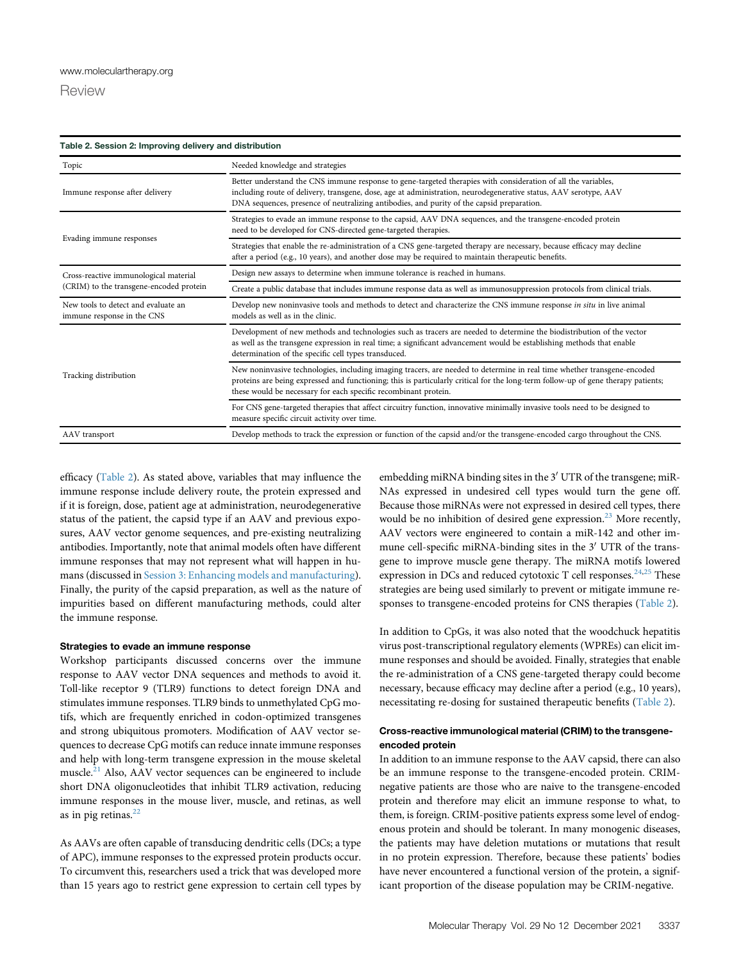<span id="page-6-0"></span>

| Table 2. Session 2: Improving delivery and distribution                          |                                                                                                                                                                                                                                                                                                                                 |  |
|----------------------------------------------------------------------------------|---------------------------------------------------------------------------------------------------------------------------------------------------------------------------------------------------------------------------------------------------------------------------------------------------------------------------------|--|
| Topic                                                                            | Needed knowledge and strategies                                                                                                                                                                                                                                                                                                 |  |
| Immune response after delivery                                                   | Better understand the CNS immune response to gene-targeted therapies with consideration of all the variables,<br>including route of delivery, transgene, dose, age at administration, neurodegenerative status, AAV serotype, AAV<br>DNA sequences, presence of neutralizing antibodies, and purity of the capsid preparation.  |  |
| Evading immune responses                                                         | Strategies to evade an immune response to the capsid, AAV DNA sequences, and the transgene-encoded protein<br>need to be developed for CNS-directed gene-targeted therapies.                                                                                                                                                    |  |
|                                                                                  | Strategies that enable the re-administration of a CNS gene-targeted therapy are necessary, because efficacy may decline<br>after a period (e.g., 10 years), and another dose may be required to maintain therapeutic benefits.                                                                                                  |  |
| Cross-reactive immunological material<br>(CRIM) to the transgene-encoded protein | Design new assays to determine when immune tolerance is reached in humans.                                                                                                                                                                                                                                                      |  |
|                                                                                  | Create a public database that includes immune response data as well as immunosuppression protocols from clinical trials.                                                                                                                                                                                                        |  |
| New tools to detect and evaluate an<br>immune response in the CNS                | Develop new noninvasive tools and methods to detect and characterize the CNS immune response in situ in live animal<br>models as well as in the clinic.                                                                                                                                                                         |  |
| Tracking distribution                                                            | Development of new methods and technologies such as tracers are needed to determine the biodistribution of the vector<br>as well as the transgene expression in real time; a significant advancement would be establishing methods that enable<br>determination of the specific cell types transduced.                          |  |
|                                                                                  | New noninvasive technologies, including imaging tracers, are needed to determine in real time whether transgene-encoded<br>proteins are being expressed and functioning; this is particularly critical for the long-term follow-up of gene therapy patients;<br>these would be necessary for each specific recombinant protein. |  |
|                                                                                  | For CNS gene-targeted therapies that affect circuitry function, innovative minimally invasive tools need to be designed to<br>measure specific circuit activity over time.                                                                                                                                                      |  |
| AAV transport                                                                    | Develop methods to track the expression or function of the capsid and/or the transgene-encoded cargo throughout the CNS.                                                                                                                                                                                                        |  |

efficacy [\(Table 2](#page-6-0)). As stated above, variables that may influence the immune response include delivery route, the protein expressed and if it is foreign, dose, patient age at administration, neurodegenerative status of the patient, the capsid type if an AAV and previous exposures, AAV vector genome sequences, and pre-existing neutralizing antibodies. Importantly, note that animal models often have different immune responses that may not represent what will happen in humans (discussed in [Session 3: Enhancing models and manufacturing\)](#page-8-0). Finally, the purity of the capsid preparation, as well as the nature of impurities based on different manufacturing methods, could alter the immune response.

#### Strategies to evade an immune response

Workshop participants discussed concerns over the immune response to AAV vector DNA sequences and methods to avoid it. Toll-like receptor 9 (TLR9) functions to detect foreign DNA and stimulates immune responses. TLR9 binds to unmethylated CpG motifs, which are frequently enriched in codon-optimized transgenes and strong ubiquitous promoters. Modification of AAV vector sequences to decrease CpG motifs can reduce innate immune responses and help with long-term transgene expression in the mouse skeletal muscle.<sup>[21](#page-12-21)</sup> Also, AAV vector sequences can be engineered to include short DNA oligonucleotides that inhibit TLR9 activation, reducing immune responses in the mouse liver, muscle, and retinas, as well as in pig retinas. $22$ 

As AAVs are often capable of transducing dendritic cells (DCs; a type of APC), immune responses to the expressed protein products occur. To circumvent this, researchers used a trick that was developed more than 15 years ago to restrict gene expression to certain cell types by

embedding miRNA binding sites in the  $3'$  UTR of the transgene; miR-NAs expressed in undesired cell types would turn the gene off. Because those miRNAs were not expressed in desired cell types, there would be no inhibition of desired gene expression.<sup>[23](#page-13-1)</sup> More recently, AAV vectors were engineered to contain a miR-142 and other immune cell-specific miRNA-binding sites in the 3' UTR of the transgene to improve muscle gene therapy. The miRNA motifs lowered expression in DCs and reduced cytotoxic T cell responses.<sup>[24,](#page-13-2)[25](#page-13-3)</sup> These strategies are being used similarly to prevent or mitigate immune responses to transgene-encoded proteins for CNS therapies ([Table 2](#page-6-0)).

In addition to CpGs, it was also noted that the woodchuck hepatitis virus post-transcriptional regulatory elements (WPREs) can elicit immune responses and should be avoided. Finally, strategies that enable the re-administration of a CNS gene-targeted therapy could become necessary, because efficacy may decline after a period (e.g., 10 years), necessitating re-dosing for sustained therapeutic benefits [\(Table 2\)](#page-6-0).

# Cross-reactive immunological material (CRIM) to the transgeneencoded protein

In addition to an immune response to the AAV capsid, there can also be an immune response to the transgene-encoded protein. CRIMnegative patients are those who are naive to the transgene-encoded protein and therefore may elicit an immune response to what, to them, is foreign. CRIM-positive patients express some level of endogenous protein and should be tolerant. In many monogenic diseases, the patients may have deletion mutations or mutations that result in no protein expression. Therefore, because these patients' bodies have never encountered a functional version of the protein, a significant proportion of the disease population may be CRIM-negative.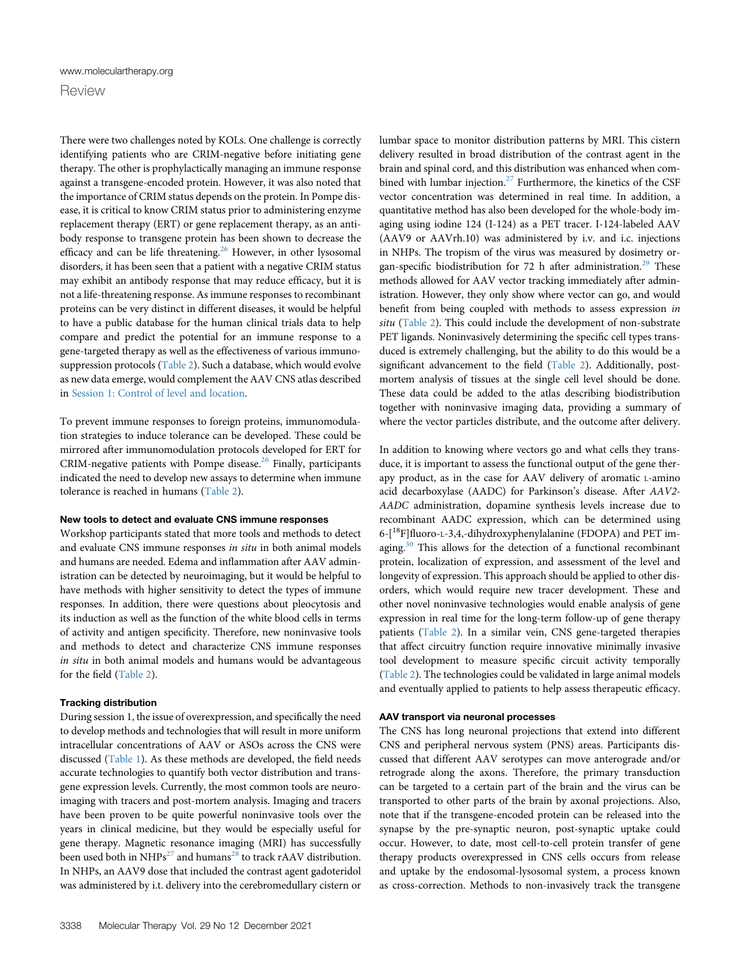There were two challenges noted by KOLs. One challenge is correctly identifying patients who are CRIM-negative before initiating gene therapy. The other is prophylactically managing an immune response against a transgene-encoded protein. However, it was also noted that the importance of CRIM status depends on the protein. In Pompe disease, it is critical to know CRIM status prior to administering enzyme replacement therapy (ERT) or gene replacement therapy, as an antibody response to transgene protein has been shown to decrease the efficacy and can be life threatening.<sup>[26](#page-13-4)</sup> However, in other lysosomal disorders, it has been seen that a patient with a negative CRIM status may exhibit an antibody response that may reduce efficacy, but it is not a life-threatening response. As immune responses to recombinant proteins can be very distinct in different diseases, it would be helpful to have a public database for the human clinical trials data to help compare and predict the potential for an immune response to a gene-targeted therapy as well as the effectiveness of various immunosuppression protocols ([Table 2\)](#page-6-0). Such a database, which would evolve as new data emerge, would complement the AAV CNS atlas described in [Session 1: Control of level and location](#page-2-0).

To prevent immune responses to foreign proteins, immunomodulation strategies to induce tolerance can be developed. These could be mirrored after immunomodulation protocols developed for ERT for CRIM-negative patients with Pompe disease.<sup>[26](#page-13-4)</sup> Finally, participants indicated the need to develop new assays to determine when immune tolerance is reached in humans ([Table 2](#page-6-0)).

#### New tools to detect and evaluate CNS immune responses

Workshop participants stated that more tools and methods to detect and evaluate CNS immune responses in situ in both animal models and humans are needed. Edema and inflammation after AAV administration can be detected by neuroimaging, but it would be helpful to have methods with higher sensitivity to detect the types of immune responses. In addition, there were questions about pleocytosis and its induction as well as the function of the white blood cells in terms of activity and antigen specificity. Therefore, new noninvasive tools and methods to detect and characterize CNS immune responses in situ in both animal models and humans would be advantageous for the field [\(Table 2](#page-6-0)).

# Tracking distribution

During session 1, the issue of overexpression, and specifically the need to develop methods and technologies that will result in more uniform intracellular concentrations of AAV or ASOs across the CNS were discussed [\(Table 1\)](#page-3-0). As these methods are developed, the field needs accurate technologies to quantify both vector distribution and transgene expression levels. Currently, the most common tools are neuroimaging with tracers and post-mortem analysis. Imaging and tracers have been proven to be quite powerful noninvasive tools over the years in clinical medicine, but they would be especially useful for gene therapy. Magnetic resonance imaging (MRI) has successfully been used both in  $NHPs^{27}$  $NHPs^{27}$  $NHPs^{27}$  and humans<sup>[28](#page-13-6)</sup> to track rAAV distribution. In NHPs, an AAV9 dose that included the contrast agent gadoteridol was administered by i.t. delivery into the cerebromedullary cistern or lumbar space to monitor distribution patterns by MRI. This cistern delivery resulted in broad distribution of the contrast agent in the brain and spinal cord, and this distribution was enhanced when com-bined with lumbar injection.<sup>[27](#page-13-5)</sup> Furthermore, the kinetics of the CSF vector concentration was determined in real time. In addition, a quantitative method has also been developed for the whole-body imaging using iodine 124 (I-124) as a PET tracer. I-124-labeled AAV (AAV9 or AAVrh.10) was administered by i.v. and i.c. injections in NHPs. The tropism of the virus was measured by dosimetry or-gan-specific biodistribution for 72 h after administration.<sup>[29](#page-13-7)</sup> These methods allowed for AAV vector tracking immediately after administration. However, they only show where vector can go, and would benefit from being coupled with methods to assess expression in situ ([Table 2](#page-6-0)). This could include the development of non-substrate PET ligands. Noninvasively determining the specific cell types transduced is extremely challenging, but the ability to do this would be a significant advancement to the field ([Table 2\)](#page-6-0). Additionally, postmortem analysis of tissues at the single cell level should be done. These data could be added to the atlas describing biodistribution together with noninvasive imaging data, providing a summary of where the vector particles distribute, and the outcome after delivery.

In addition to knowing where vectors go and what cells they transduce, it is important to assess the functional output of the gene therapy product, as in the case for AAV delivery of aromatic L-amino acid decarboxylase (AADC) for Parkinson's disease. After AAV2- AADC administration, dopamine synthesis levels increase due to recombinant AADC expression, which can be determined using  $6-[18F]$ fluoro-L-3,4,-dihydroxyphenylalanine (FDOPA) and PET im-aging.<sup>[30](#page-13-8)</sup> This allows for the detection of a functional recombinant protein, localization of expression, and assessment of the level and longevity of expression. This approach should be applied to other disorders, which would require new tracer development. These and other novel noninvasive technologies would enable analysis of gene expression in real time for the long-term follow-up of gene therapy patients ([Table 2\)](#page-6-0). In a similar vein, CNS gene-targeted therapies that affect circuitry function require innovative minimally invasive tool development to measure specific circuit activity temporally [\(Table 2](#page-6-0)). The technologies could be validated in large animal models and eventually applied to patients to help assess therapeutic efficacy.

#### AAV transport via neuronal processes

The CNS has long neuronal projections that extend into different CNS and peripheral nervous system (PNS) areas. Participants discussed that different AAV serotypes can move anterograde and/or retrograde along the axons. Therefore, the primary transduction can be targeted to a certain part of the brain and the virus can be transported to other parts of the brain by axonal projections. Also, note that if the transgene-encoded protein can be released into the synapse by the pre-synaptic neuron, post-synaptic uptake could occur. However, to date, most cell-to-cell protein transfer of gene therapy products overexpressed in CNS cells occurs from release and uptake by the endosomal-lysosomal system, a process known as cross-correction. Methods to non-invasively track the transgene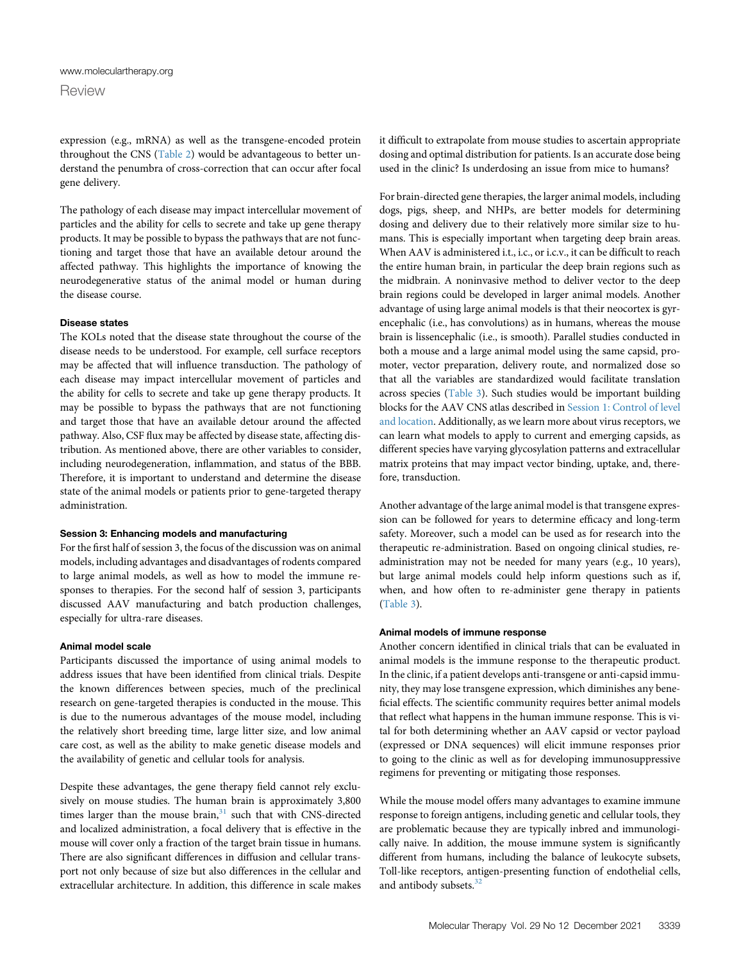expression (e.g., mRNA) as well as the transgene-encoded protein throughout the CNS ([Table 2\)](#page-6-0) would be advantageous to better understand the penumbra of cross-correction that can occur after focal gene delivery.

The pathology of each disease may impact intercellular movement of particles and the ability for cells to secrete and take up gene therapy products. It may be possible to bypass the pathways that are not functioning and target those that have an available detour around the affected pathway. This highlights the importance of knowing the neurodegenerative status of the animal model or human during the disease course.

#### Disease states

The KOLs noted that the disease state throughout the course of the disease needs to be understood. For example, cell surface receptors may be affected that will influence transduction. The pathology of each disease may impact intercellular movement of particles and the ability for cells to secrete and take up gene therapy products. It may be possible to bypass the pathways that are not functioning and target those that have an available detour around the affected pathway. Also, CSF flux may be affected by disease state, affecting distribution. As mentioned above, there are other variables to consider, including neurodegeneration, inflammation, and status of the BBB. Therefore, it is important to understand and determine the disease state of the animal models or patients prior to gene-targeted therapy administration.

#### <span id="page-8-0"></span>Session 3: Enhancing models and manufacturing

For the first half of session 3, the focus of the discussion was on animal models, including advantages and disadvantages of rodents compared to large animal models, as well as how to model the immune responses to therapies. For the second half of session 3, participants discussed AAV manufacturing and batch production challenges, especially for ultra-rare diseases.

#### Animal model scale

Participants discussed the importance of using animal models to address issues that have been identified from clinical trials. Despite the known differences between species, much of the preclinical research on gene-targeted therapies is conducted in the mouse. This is due to the numerous advantages of the mouse model, including the relatively short breeding time, large litter size, and low animal care cost, as well as the ability to make genetic disease models and the availability of genetic and cellular tools for analysis.

Despite these advantages, the gene therapy field cannot rely exclusively on mouse studies. The human brain is approximately 3,800 times larger than the mouse brain, $31$  such that with CNS-directed and localized administration, a focal delivery that is effective in the mouse will cover only a fraction of the target brain tissue in humans. There are also significant differences in diffusion and cellular transport not only because of size but also differences in the cellular and extracellular architecture. In addition, this difference in scale makes it difficult to extrapolate from mouse studies to ascertain appropriate dosing and optimal distribution for patients. Is an accurate dose being used in the clinic? Is underdosing an issue from mice to humans?

For brain-directed gene therapies, the larger animal models, including dogs, pigs, sheep, and NHPs, are better models for determining dosing and delivery due to their relatively more similar size to humans. This is especially important when targeting deep brain areas. When AAV is administered i.t., i.c., or i.c.v., it can be difficult to reach the entire human brain, in particular the deep brain regions such as the midbrain. A noninvasive method to deliver vector to the deep brain regions could be developed in larger animal models. Another advantage of using large animal models is that their neocortex is gyrencephalic (i.e., has convolutions) as in humans, whereas the mouse brain is lissencephalic (i.e., is smooth). Parallel studies conducted in both a mouse and a large animal model using the same capsid, promoter, vector preparation, delivery route, and normalized dose so that all the variables are standardized would facilitate translation across species ([Table 3](#page-9-0)). Such studies would be important building blocks for the AAV CNS atlas described in [Session 1: Control of level](#page-2-0) [and location.](#page-2-0) Additionally, as we learn more about virus receptors, we can learn what models to apply to current and emerging capsids, as different species have varying glycosylation patterns and extracellular matrix proteins that may impact vector binding, uptake, and, therefore, transduction.

Another advantage of the large animal model is that transgene expression can be followed for years to determine efficacy and long-term safety. Moreover, such a model can be used as for research into the therapeutic re-administration. Based on ongoing clinical studies, readministration may not be needed for many years (e.g., 10 years), but large animal models could help inform questions such as if, when, and how often to re-administer gene therapy in patients ([Table 3\)](#page-9-0).

#### Animal models of immune response

Another concern identified in clinical trials that can be evaluated in animal models is the immune response to the therapeutic product. In the clinic, if a patient develops anti-transgene or anti-capsid immunity, they may lose transgene expression, which diminishes any beneficial effects. The scientific community requires better animal models that reflect what happens in the human immune response. This is vital for both determining whether an AAV capsid or vector payload (expressed or DNA sequences) will elicit immune responses prior to going to the clinic as well as for developing immunosuppressive regimens for preventing or mitigating those responses.

While the mouse model offers many advantages to examine immune response to foreign antigens, including genetic and cellular tools, they are problematic because they are typically inbred and immunologically naive. In addition, the mouse immune system is significantly different from humans, including the balance of leukocyte subsets, Toll-like receptors, antigen-presenting function of endothelial cells, and antibody subsets.<sup>32</sup>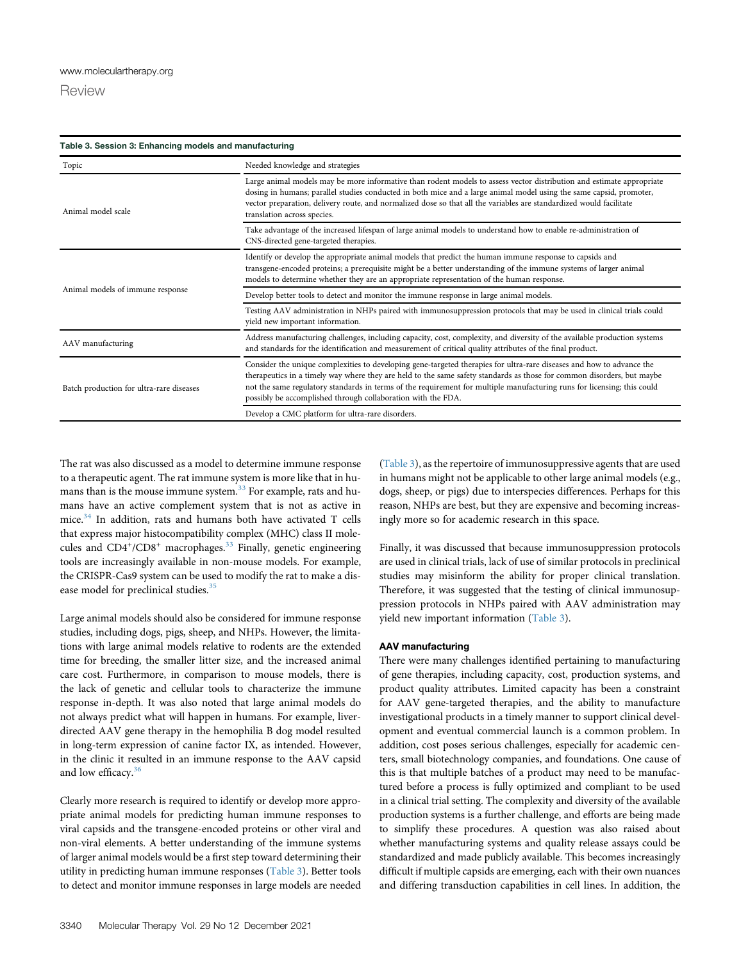<span id="page-9-0"></span>

| Table 3. Session 3: Enhancing models and manufacturing |                                                                                                                                                                                                                                                                                                                                                                                                                                            |
|--------------------------------------------------------|--------------------------------------------------------------------------------------------------------------------------------------------------------------------------------------------------------------------------------------------------------------------------------------------------------------------------------------------------------------------------------------------------------------------------------------------|
| Topic                                                  | Needed knowledge and strategies                                                                                                                                                                                                                                                                                                                                                                                                            |
| Animal model scale                                     | Large animal models may be more informative than rodent models to assess vector distribution and estimate appropriate<br>dosing in humans; parallel studies conducted in both mice and a large animal model using the same capsid, promoter,<br>vector preparation, delivery route, and normalized dose so that all the variables are standardized would facilitate<br>translation across species.                                         |
|                                                        | Take advantage of the increased lifespan of large animal models to understand how to enable re-administration of<br>CNS-directed gene-targeted therapies.                                                                                                                                                                                                                                                                                  |
| Animal models of immune response                       | Identify or develop the appropriate animal models that predict the human immune response to capsids and<br>transgene-encoded proteins; a prerequisite might be a better understanding of the immune systems of larger animal<br>models to determine whether they are an appropriate representation of the human response.                                                                                                                  |
|                                                        | Develop better tools to detect and monitor the immune response in large animal models.                                                                                                                                                                                                                                                                                                                                                     |
|                                                        | Testing AAV administration in NHPs paired with immunosuppression protocols that may be used in clinical trials could<br>yield new important information.                                                                                                                                                                                                                                                                                   |
| AAV manufacturing                                      | Address manufacturing challenges, including capacity, cost, complexity, and diversity of the available production systems<br>and standards for the identification and measurement of critical quality attributes of the final product.                                                                                                                                                                                                     |
| Batch production for ultra-rare diseases               | Consider the unique complexities to developing gene-targeted therapies for ultra-rare diseases and how to advance the<br>therapeutics in a timely way where they are held to the same safety standards as those for common disorders, but maybe<br>not the same regulatory standards in terms of the requirement for multiple manufacturing runs for licensing; this could<br>possibly be accomplished through collaboration with the FDA. |
|                                                        | Develop a CMC platform for ultra-rare disorders.                                                                                                                                                                                                                                                                                                                                                                                           |

The rat was also discussed as a model to determine immune response to a therapeutic agent. The rat immune system is more like that in hu-mans than is the mouse immune system.<sup>[33](#page-13-11)</sup> For example, rats and humans have an active complement system that is not as active in mice.[34](#page-13-12) In addition, rats and humans both have activated T cells that express major histocompatibility complex (MHC) class II mole-cules and CD4<sup>+</sup>/CD8<sup>+</sup> macrophages.<sup>[33](#page-13-11)</sup> Finally, genetic engineering tools are increasingly available in non-mouse models. For example, the CRISPR-Cas9 system can be used to modify the rat to make a dis-ease model for preclinical studies.<sup>[35](#page-13-13)</sup>

Large animal models should also be considered for immune response studies, including dogs, pigs, sheep, and NHPs. However, the limitations with large animal models relative to rodents are the extended time for breeding, the smaller litter size, and the increased animal care cost. Furthermore, in comparison to mouse models, there is the lack of genetic and cellular tools to characterize the immune response in-depth. It was also noted that large animal models do not always predict what will happen in humans. For example, liverdirected AAV gene therapy in the hemophilia B dog model resulted in long-term expression of canine factor IX, as intended. However, in the clinic it resulted in an immune response to the AAV capsid and low efficacy.<sup>[36](#page-13-14)</sup>

Clearly more research is required to identify or develop more appropriate animal models for predicting human immune responses to viral capsids and the transgene-encoded proteins or other viral and non-viral elements. A better understanding of the immune systems of larger animal models would be a first step toward determining their utility in predicting human immune responses ([Table 3](#page-9-0)). Better tools to detect and monitor immune responses in large models are needed

([Table 3\)](#page-9-0), as the repertoire of immunosuppressive agents that are used in humans might not be applicable to other large animal models (e.g., dogs, sheep, or pigs) due to interspecies differences. Perhaps for this reason, NHPs are best, but they are expensive and becoming increasingly more so for academic research in this space.

Finally, it was discussed that because immunosuppression protocols are used in clinical trials, lack of use of similar protocols in preclinical studies may misinform the ability for proper clinical translation. Therefore, it was suggested that the testing of clinical immunosuppression protocols in NHPs paired with AAV administration may yield new important information [\(Table 3\)](#page-9-0).

# AAV manufacturing

There were many challenges identified pertaining to manufacturing of gene therapies, including capacity, cost, production systems, and product quality attributes. Limited capacity has been a constraint for AAV gene-targeted therapies, and the ability to manufacture investigational products in a timely manner to support clinical development and eventual commercial launch is a common problem. In addition, cost poses serious challenges, especially for academic centers, small biotechnology companies, and foundations. One cause of this is that multiple batches of a product may need to be manufactured before a process is fully optimized and compliant to be used in a clinical trial setting. The complexity and diversity of the available production systems is a further challenge, and efforts are being made to simplify these procedures. A question was also raised about whether manufacturing systems and quality release assays could be standardized and made publicly available. This becomes increasingly difficult if multiple capsids are emerging, each with their own nuances and differing transduction capabilities in cell lines. In addition, the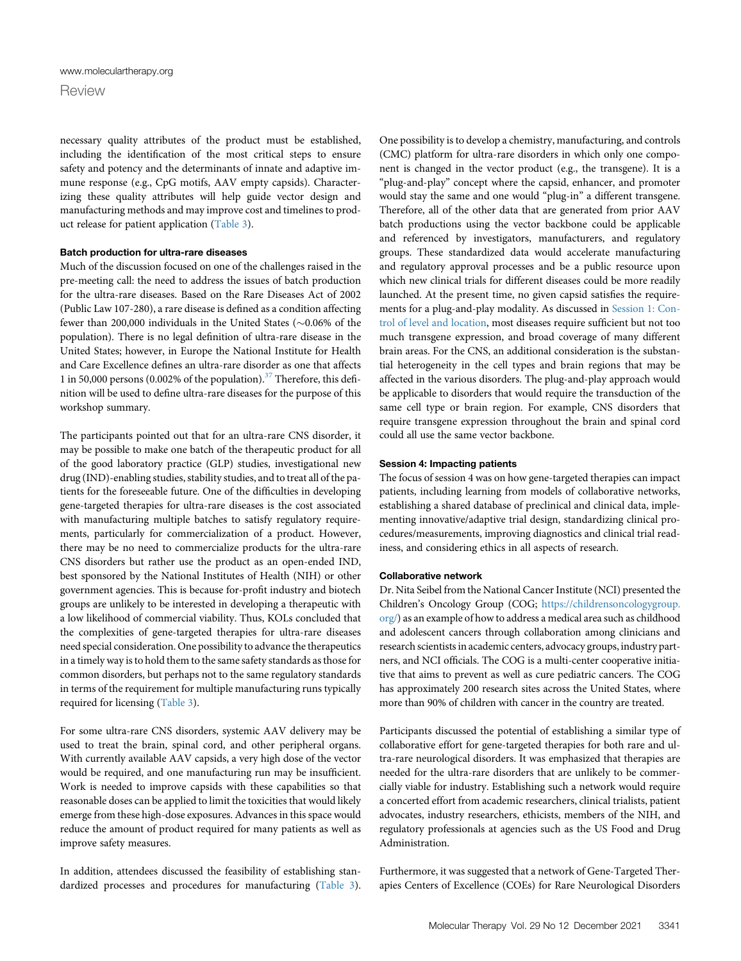necessary quality attributes of the product must be established, including the identification of the most critical steps to ensure safety and potency and the determinants of innate and adaptive immune response (e.g., CpG motifs, AAV empty capsids). Characterizing these quality attributes will help guide vector design and manufacturing methods and may improve cost and timelines to product release for patient application ([Table 3](#page-9-0)).

#### Batch production for ultra-rare diseases

Much of the discussion focused on one of the challenges raised in the pre-meeting call: the need to address the issues of batch production for the ultra-rare diseases. Based on the Rare Diseases Act of 2002 (Public Law 107-280), a rare disease is defined as a condition affecting fewer than 200,000 individuals in the United States ( $\sim$ 0.06% of the population). There is no legal definition of ultra-rare disease in the United States; however, in Europe the National Institute for Health and Care Excellence defines an ultra-rare disorder as one that affects 1 in 50,000 persons (0.002% of the population).[37](#page-13-15) Therefore, this definition will be used to define ultra-rare diseases for the purpose of this workshop summary.

The participants pointed out that for an ultra-rare CNS disorder, it may be possible to make one batch of the therapeutic product for all of the good laboratory practice (GLP) studies, investigational new drug (IND)-enabling studies, stability studies, and to treat all of the patients for the foreseeable future. One of the difficulties in developing gene-targeted therapies for ultra-rare diseases is the cost associated with manufacturing multiple batches to satisfy regulatory requirements, particularly for commercialization of a product. However, there may be no need to commercialize products for the ultra-rare CNS disorders but rather use the product as an open-ended IND, best sponsored by the National Institutes of Health (NIH) or other government agencies. This is because for-profit industry and biotech groups are unlikely to be interested in developing a therapeutic with a low likelihood of commercial viability. Thus, KOLs concluded that the complexities of gene-targeted therapies for ultra-rare diseases need special consideration. One possibility to advance the therapeutics in a timely way is to hold them to the same safety standards as those for common disorders, but perhaps not to the same regulatory standards in terms of the requirement for multiple manufacturing runs typically required for licensing ([Table 3](#page-9-0)).

For some ultra-rare CNS disorders, systemic AAV delivery may be used to treat the brain, spinal cord, and other peripheral organs. With currently available AAV capsids, a very high dose of the vector would be required, and one manufacturing run may be insufficient. Work is needed to improve capsids with these capabilities so that reasonable doses can be applied to limit the toxicities that would likely emerge from these high-dose exposures. Advances in this space would reduce the amount of product required for many patients as well as improve safety measures.

In addition, attendees discussed the feasibility of establishing standardized processes and procedures for manufacturing [\(Table 3\)](#page-9-0).

One possibility is to develop a chemistry, manufacturing, and controls (CMC) platform for ultra-rare disorders in which only one component is changed in the vector product (e.g., the transgene). It is a "plug-and-play" concept where the capsid, enhancer, and promoter would stay the same and one would "plug-in" a different transgene. Therefore, all of the other data that are generated from prior AAV batch productions using the vector backbone could be applicable and referenced by investigators, manufacturers, and regulatory groups. These standardized data would accelerate manufacturing and regulatory approval processes and be a public resource upon which new clinical trials for different diseases could be more readily launched. At the present time, no given capsid satisfies the requirements for a plug-and-play modality. As discussed in [Session 1: Con](#page-2-0)[trol of level and location](#page-2-0), most diseases require sufficient but not too much transgene expression, and broad coverage of many different brain areas. For the CNS, an additional consideration is the substantial heterogeneity in the cell types and brain regions that may be affected in the various disorders. The plug-and-play approach would be applicable to disorders that would require the transduction of the same cell type or brain region. For example, CNS disorders that require transgene expression throughout the brain and spinal cord could all use the same vector backbone.

#### Session 4: Impacting patients

The focus of session 4 was on how gene-targeted therapies can impact patients, including learning from models of collaborative networks, establishing a shared database of preclinical and clinical data, implementing innovative/adaptive trial design, standardizing clinical procedures/measurements, improving diagnostics and clinical trial readiness, and considering ethics in all aspects of research.

#### Collaborative network

Dr. Nita Seibel from the National Cancer Institute (NCI) presented the Children's Oncology Group (COG; [https://childrensoncologygroup.](https://childrensoncologygroup.org/) [org/](https://childrensoncologygroup.org/)) as an example of how to address a medical area such as childhood and adolescent cancers through collaboration among clinicians and research scientists in academic centers, advocacy groups, industry partners, and NCI officials. The COG is a multi-center cooperative initiative that aims to prevent as well as cure pediatric cancers. The COG has approximately 200 research sites across the United States, where more than 90% of children with cancer in the country are treated.

Participants discussed the potential of establishing a similar type of collaborative effort for gene-targeted therapies for both rare and ultra-rare neurological disorders. It was emphasized that therapies are needed for the ultra-rare disorders that are unlikely to be commercially viable for industry. Establishing such a network would require a concerted effort from academic researchers, clinical trialists, patient advocates, industry researchers, ethicists, members of the NIH, and regulatory professionals at agencies such as the US Food and Drug Administration.

Furthermore, it was suggested that a network of Gene-Targeted Therapies Centers of Excellence (COEs) for Rare Neurological Disorders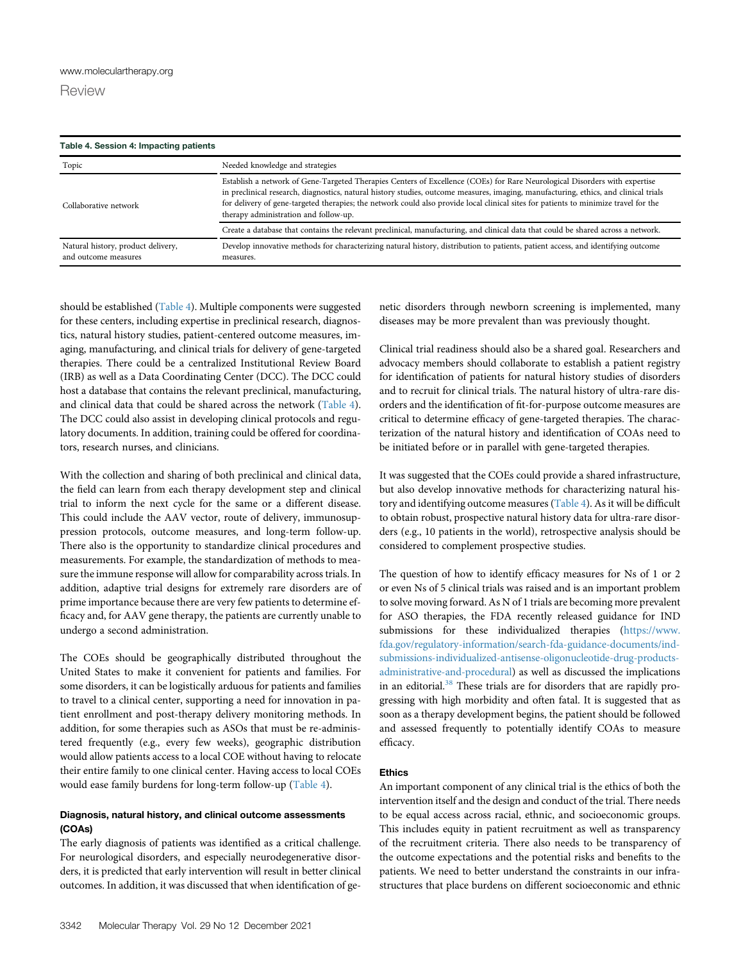<span id="page-11-0"></span>

| Table 4. Session 4: Impacting patients                     |                                                                                                                                                                                                                                                                                                                                                                                                                                                     |
|------------------------------------------------------------|-----------------------------------------------------------------------------------------------------------------------------------------------------------------------------------------------------------------------------------------------------------------------------------------------------------------------------------------------------------------------------------------------------------------------------------------------------|
| Topic                                                      | Needed knowledge and strategies                                                                                                                                                                                                                                                                                                                                                                                                                     |
| Collaborative network                                      | Establish a network of Gene-Targeted Therapies Centers of Excellence (COEs) for Rare Neurological Disorders with expertise<br>in preclinical research, diagnostics, natural history studies, outcome measures, imaging, manufacturing, ethics, and clinical trials<br>for delivery of gene-targeted therapies; the network could also provide local clinical sites for patients to minimize travel for the<br>therapy administration and follow-up. |
|                                                            | Create a database that contains the relevant preclinical, manufacturing, and clinical data that could be shared across a network.                                                                                                                                                                                                                                                                                                                   |
| Natural history, product delivery,<br>and outcome measures | Develop innovative methods for characterizing natural history, distribution to patients, patient access, and identifying outcome<br>measures.                                                                                                                                                                                                                                                                                                       |

should be established [\(Table 4](#page-11-0)). Multiple components were suggested for these centers, including expertise in preclinical research, diagnostics, natural history studies, patient-centered outcome measures, imaging, manufacturing, and clinical trials for delivery of gene-targeted therapies. There could be a centralized Institutional Review Board (IRB) as well as a Data Coordinating Center (DCC). The DCC could host a database that contains the relevant preclinical, manufacturing, and clinical data that could be shared across the network ([Table 4\)](#page-11-0). The DCC could also assist in developing clinical protocols and regulatory documents. In addition, training could be offered for coordinators, research nurses, and clinicians.

With the collection and sharing of both preclinical and clinical data, the field can learn from each therapy development step and clinical trial to inform the next cycle for the same or a different disease. This could include the AAV vector, route of delivery, immunosuppression protocols, outcome measures, and long-term follow-up. There also is the opportunity to standardize clinical procedures and measurements. For example, the standardization of methods to measure the immune response will allow for comparability across trials. In addition, adaptive trial designs for extremely rare disorders are of prime importance because there are very few patients to determine efficacy and, for AAV gene therapy, the patients are currently unable to undergo a second administration.

The COEs should be geographically distributed throughout the United States to make it convenient for patients and families. For some disorders, it can be logistically arduous for patients and families to travel to a clinical center, supporting a need for innovation in patient enrollment and post-therapy delivery monitoring methods. In addition, for some therapies such as ASOs that must be re-administered frequently (e.g., every few weeks), geographic distribution would allow patients access to a local COE without having to relocate their entire family to one clinical center. Having access to local COEs would ease family burdens for long-term follow-up ([Table 4](#page-11-0)).

# Diagnosis, natural history, and clinical outcome assessments (COAs)

The early diagnosis of patients was identified as a critical challenge. For neurological disorders, and especially neurodegenerative disorders, it is predicted that early intervention will result in better clinical outcomes. In addition, it was discussed that when identification of genetic disorders through newborn screening is implemented, many diseases may be more prevalent than was previously thought.

Clinical trial readiness should also be a shared goal. Researchers and advocacy members should collaborate to establish a patient registry for identification of patients for natural history studies of disorders and to recruit for clinical trials. The natural history of ultra-rare disorders and the identification of fit-for-purpose outcome measures are critical to determine efficacy of gene-targeted therapies. The characterization of the natural history and identification of COAs need to be initiated before or in parallel with gene-targeted therapies.

It was suggested that the COEs could provide a shared infrastructure, but also develop innovative methods for characterizing natural history and identifying outcome measures [\(Table 4](#page-11-0)). As it will be difficult to obtain robust, prospective natural history data for ultra-rare disorders (e.g., 10 patients in the world), retrospective analysis should be considered to complement prospective studies.

The question of how to identify efficacy measures for Ns of 1 or 2 or even Ns of 5 clinical trials was raised and is an important problem to solve moving forward. As N of 1 trials are becoming more prevalent for ASO therapies, the FDA recently released guidance for IND submissions for these individualized therapies ([https://www.](https://www.fda.gov/regulatory-information/search-fda-guidance-documents/ind-submissions-individualized-antisense-oligonucleotide-drug-products-administrative-and-procedural) [fda.gov/regulatory-information/search-fda-guidance-documents/ind](https://www.fda.gov/regulatory-information/search-fda-guidance-documents/ind-submissions-individualized-antisense-oligonucleotide-drug-products-administrative-and-procedural)[submissions-individualized-antisense-oligonucleotide-drug-products](https://www.fda.gov/regulatory-information/search-fda-guidance-documents/ind-submissions-individualized-antisense-oligonucleotide-drug-products-administrative-and-procedural)[administrative-and-procedural\)](https://www.fda.gov/regulatory-information/search-fda-guidance-documents/ind-submissions-individualized-antisense-oligonucleotide-drug-products-administrative-and-procedural) as well as discussed the implications in an editorial. $38$  These trials are for disorders that are rapidly progressing with high morbidity and often fatal. It is suggested that as soon as a therapy development begins, the patient should be followed and assessed frequently to potentially identify COAs to measure efficacy.

# Ethics

An important component of any clinical trial is the ethics of both the intervention itself and the design and conduct of the trial. There needs to be equal access across racial, ethnic, and socioeconomic groups. This includes equity in patient recruitment as well as transparency of the recruitment criteria. There also needs to be transparency of the outcome expectations and the potential risks and benefits to the patients. We need to better understand the constraints in our infrastructures that place burdens on different socioeconomic and ethnic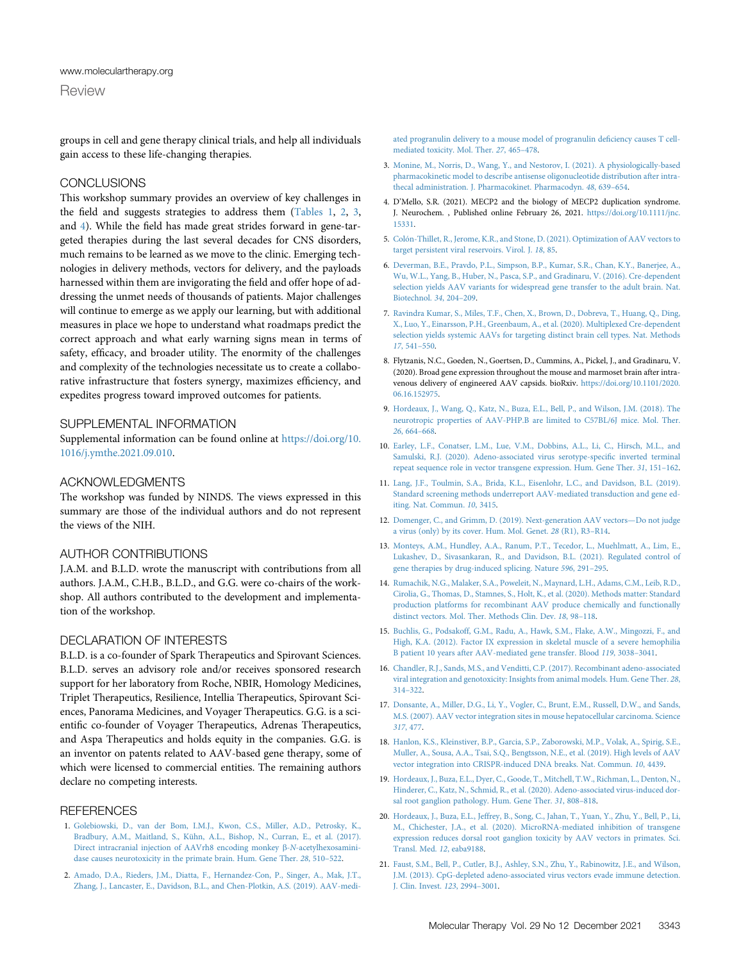[www.moleculartherapy.org](http://www.moleculartherapy.org)

groups in cell and gene therapy clinical trials, and help all individuals gain access to these life-changing therapies.

## **CONCLUSIONS**

This workshop summary provides an overview of key challenges in the field and suggests strategies to address them ([Tables 1](#page-3-0), [2,](#page-6-0) [3](#page-9-0), and [4\)](#page-11-0). While the field has made great strides forward in gene-targeted therapies during the last several decades for CNS disorders, much remains to be learned as we move to the clinic. Emerging technologies in delivery methods, vectors for delivery, and the payloads harnessed within them are invigorating the field and offer hope of addressing the unmet needs of thousands of patients. Major challenges will continue to emerge as we apply our learning, but with additional measures in place we hope to understand what roadmaps predict the correct approach and what early warning signs mean in terms of safety, efficacy, and broader utility. The enormity of the challenges and complexity of the technologies necessitate us to create a collaborative infrastructure that fosters synergy, maximizes efficiency, and expedites progress toward improved outcomes for patients.

#### <span id="page-12-0"></span>SUPPLEMENTAL INFORMATION

Supplemental information can be found online at [https://doi.org/10.](https://doi.org/10.1016/j.ymthe.2021.09.010) [1016/j.ymthe.2021.09.010](https://doi.org/10.1016/j.ymthe.2021.09.010).

# ACKNOWLEDGMENTS

The workshop was funded by NINDS. The views expressed in this summary are those of the individual authors and do not represent the views of the NIH.

# AUTHOR CONTRIBUTIONS

J.A.M. and B.L.D. wrote the manuscript with contributions from all authors. J.A.M., C.H.B., B.L.D., and G.G. were co-chairs of the workshop. All authors contributed to the development and implementation of the workshop.

# DECLARATION OF INTERESTS

B.L.D. is a co-founder of Spark Therapeutics and Spirovant Sciences. B.L.D. serves an advisory role and/or receives sponsored research support for her laboratory from Roche, NBIR, Homology Medicines, Triplet Therapeutics, Resilience, Intellia Therapeutics, Spirovant Sciences, Panorama Medicines, and Voyager Therapeutics. G.G. is a scientific co-founder of Voyager Therapeutics, Adrenas Therapeutics, and Aspa Therapeutics and holds equity in the companies. G.G. is an inventor on patents related to AAV-based gene therapy, some of which were licensed to commercial entities. The remaining authors declare no competing interests.

#### <span id="page-12-1"></span>**REFERENCES**

- 1. [Golebiowski, D., van der Bom, I.M.J., Kwon, C.S., Miller, A.D., Petrosky, K.,](http://refhub.elsevier.com/S1525-0016(21)00465-2/sref1) [Bradbury, A.M., Maitland, S., Kühn, A.L., Bishop, N., Curran, E., et al. \(2017\).](http://refhub.elsevier.com/S1525-0016(21)00465-2/sref1) [Direct intracranial injection of AAVrh8 encoding monkey](http://refhub.elsevier.com/S1525-0016(21)00465-2/sref1) b-N-acetylhexosamini[dase causes neurotoxicity in the primate brain. Hum. Gene Ther.](http://refhub.elsevier.com/S1525-0016(21)00465-2/sref1) 28, 510–522.
- <span id="page-12-2"></span>2. [Amado, D.A., Rieders, J.M., Diatta, F., Hernandez-Con, P., Singer, A., Mak, J.T.,](http://refhub.elsevier.com/S1525-0016(21)00465-2/sref2) [Zhang, J., Lancaster, E., Davidson, B.L., and Chen-Plotkin, A.S. \(2019\). AAV-medi-](http://refhub.elsevier.com/S1525-0016(21)00465-2/sref2)

[ated progranulin delivery to a mouse model of progranulin de](http://refhub.elsevier.com/S1525-0016(21)00465-2/sref2)ficiency causes T cell[mediated toxicity. Mol. Ther.](http://refhub.elsevier.com/S1525-0016(21)00465-2/sref2) 27, 465–478.

- <span id="page-12-3"></span>3. [Monine, M., Norris, D., Wang, Y., and Nestorov, I. \(2021\). A physiologically-based](http://refhub.elsevier.com/S1525-0016(21)00465-2/sref3) [pharmacokinetic model to describe antisense oligonucleotide distribution after intra](http://refhub.elsevier.com/S1525-0016(21)00465-2/sref3)[thecal administration. J. Pharmacokinet. Pharmacodyn.](http://refhub.elsevier.com/S1525-0016(21)00465-2/sref3) 48, 639–654.
- <span id="page-12-4"></span>4. D'Mello, S.R. (2021). MECP2 and the biology of MECP2 duplication syndrome. J. Neurochem. , Published online February 26, 2021. [https://doi.org/10.1111/jnc.](https://doi.org/10.1111/jnc.15331) [15331.](https://doi.org/10.1111/jnc.15331)
- <span id="page-12-5"></span>5. [Colón-Thillet, R., Jerome, K.R., and Stone, D. \(2021\). Optimization of AAV vectors to](http://refhub.elsevier.com/S1525-0016(21)00465-2/sref5) [target persistent viral reservoirs. Virol. J.](http://refhub.elsevier.com/S1525-0016(21)00465-2/sref5) 18, 85.
- <span id="page-12-6"></span>6. [Deverman, B.E., Pravdo, P.L., Simpson, B.P., Kumar, S.R., Chan, K.Y., Banerjee, A.,](http://refhub.elsevier.com/S1525-0016(21)00465-2/sref6) [Wu, W.L., Yang, B., Huber, N., Pasca, S.P., and Gradinaru, V. \(2016\). Cre-dependent](http://refhub.elsevier.com/S1525-0016(21)00465-2/sref6) [selection yields AAV variants for widespread gene transfer to the adult brain. Nat.](http://refhub.elsevier.com/S1525-0016(21)00465-2/sref6) [Biotechnol.](http://refhub.elsevier.com/S1525-0016(21)00465-2/sref6) 34, 204–209.
- <span id="page-12-7"></span>7. [Ravindra Kumar, S., Miles, T.F., Chen, X., Brown, D., Dobreva, T., Huang, Q., Ding,](http://refhub.elsevier.com/S1525-0016(21)00465-2/sref7) [X., Luo, Y., Einarsson, P.H., Greenbaum, A., et al. \(2020\). Multiplexed Cre-dependent](http://refhub.elsevier.com/S1525-0016(21)00465-2/sref7) [selection yields systemic AAVs for targeting distinct brain cell types. Nat. Methods](http://refhub.elsevier.com/S1525-0016(21)00465-2/sref7) 17[, 541](http://refhub.elsevier.com/S1525-0016(21)00465-2/sref7)–550.
- <span id="page-12-8"></span>8. Flytzanis, N.C., Goeden, N., Goertsen, D., Cummins, A., Pickel, J., and Gradinaru, V. (2020). Broad gene expression throughout the mouse and marmoset brain after intravenous delivery of engineered AAV capsids. bioRxiv. [https://doi.org/10.1101/2020.](https://doi.org/10.1101/2020.06.16.152975) [06.16.152975.](https://doi.org/10.1101/2020.06.16.152975)
- <span id="page-12-9"></span>9. [Hordeaux, J., Wang, Q., Katz, N., Buza, E.L., Bell, P., and Wilson, J.M. \(2018\). The](http://refhub.elsevier.com/S1525-0016(21)00465-2/sref9) [neurotropic properties of AAV-PHP.B are limited to C57BL/6J mice. Mol. Ther.](http://refhub.elsevier.com/S1525-0016(21)00465-2/sref9) 26[, 664](http://refhub.elsevier.com/S1525-0016(21)00465-2/sref9)–668.
- <span id="page-12-10"></span>10. [Earley, L.F., Conatser, L.M., Lue, V.M., Dobbins, A.L., Li, C., Hirsch, M.L., and](http://refhub.elsevier.com/S1525-0016(21)00465-2/sref10) [Samulski, R.J. \(2020\). Adeno-associated virus serotype-speci](http://refhub.elsevier.com/S1525-0016(21)00465-2/sref10)fic inverted terminal [repeat sequence role in vector transgene expression. Hum. Gene Ther.](http://refhub.elsevier.com/S1525-0016(21)00465-2/sref10) 31, 151–162.
- <span id="page-12-11"></span>11. [Lang, J.F., Toulmin, S.A., Brida, K.L., Eisenlohr, L.C., and Davidson, B.L. \(2019\).](http://refhub.elsevier.com/S1525-0016(21)00465-2/sref11) [Standard screening methods underreport AAV-mediated transduction and gene ed](http://refhub.elsevier.com/S1525-0016(21)00465-2/sref11)[iting. Nat. Commun.](http://refhub.elsevier.com/S1525-0016(21)00465-2/sref11) 10, 3415.
- <span id="page-12-12"></span>12. [Domenger, C., and Grimm, D. \(2019\). Next-generation AAV vectors](http://refhub.elsevier.com/S1525-0016(21)00465-2/sref12)—Do not judge [a virus \(only\) by its cover. Hum. Mol. Genet.](http://refhub.elsevier.com/S1525-0016(21)00465-2/sref12) 28 (R1), R3–R14.
- <span id="page-12-13"></span>13. Monteys, [A.M., Hundley, A.A., Ranum, P.T., Tecedor, L., Muehlmatt, A., Lim, E.,](http://refhub.elsevier.com/S1525-0016(21)00465-2/sref13) [Lukashev, D., Sivasankaran, R., and Davidson, B.L. \(2021\). Regulated control of](http://refhub.elsevier.com/S1525-0016(21)00465-2/sref13) [gene therapies by drug-induced splicing. Nature](http://refhub.elsevier.com/S1525-0016(21)00465-2/sref13) 596, 291–295.
- <span id="page-12-14"></span>14. [Rumachik, N.G., Malaker, S.A., Poweleit, N., Maynard, L.H., Adams, C.M., Leib, R.D.,](http://refhub.elsevier.com/S1525-0016(21)00465-2/sref14) [Cirolia, G., Thomas, D., Stamnes, S., Holt, K., et al. \(2020\). Methods matter: Standard](http://refhub.elsevier.com/S1525-0016(21)00465-2/sref14) [production platforms for recombinant AAV produce chemically and functionally](http://refhub.elsevier.com/S1525-0016(21)00465-2/sref14) [distinct vectors. Mol. Ther. Methods Clin. Dev.](http://refhub.elsevier.com/S1525-0016(21)00465-2/sref14) 18, 98–118.
- <span id="page-12-15"></span>15. [Buchlis, G., Podsakoff, G.M., Radu, A., Hawk, S.M., Flake, A.W., Mingozzi, F., and](http://refhub.elsevier.com/S1525-0016(21)00465-2/sref15) [High, K.A. \(2012\). Factor IX expression in skeletal muscle of a severe hemophilia](http://refhub.elsevier.com/S1525-0016(21)00465-2/sref15) [B patient 10 years after AAV-mediated gene transfer. Blood](http://refhub.elsevier.com/S1525-0016(21)00465-2/sref15) 119, 3038–3041.
- <span id="page-12-16"></span>16. [Chandler, R.J., Sands, M.S., and Venditti, C.P. \(2017\). Recombinant adeno-associated](http://refhub.elsevier.com/S1525-0016(21)00465-2/sref16) [viral integration and genotoxicity: Insights from animal models. Hum. Gene Ther.](http://refhub.elsevier.com/S1525-0016(21)00465-2/sref16) 28, 314–[322.](http://refhub.elsevier.com/S1525-0016(21)00465-2/sref16)
- <span id="page-12-17"></span>17. [Donsante, A., Miller, D.G., Li, Y., Vogler, C., Brunt, E.M., Russell, D.W., and Sands,](http://refhub.elsevier.com/S1525-0016(21)00465-2/sref17) [M.S. \(2007\). AAV vector integration sites in mouse hepatocellular carcinoma. Science](http://refhub.elsevier.com/S1525-0016(21)00465-2/sref17) 317[, 477.](http://refhub.elsevier.com/S1525-0016(21)00465-2/sref17)
- <span id="page-12-18"></span>18. [Hanlon, K.S., Kleinstiver, B.P., Garcia, S.P., Zaborowski, M.P., Volak, A., Spirig, S.E.,](http://refhub.elsevier.com/S1525-0016(21)00465-2/sref18) [Muller, A., Sousa, A.A., Tsai, S.Q., Bengtsson, N.E., et al. \(2019\). High levels of AAV](http://refhub.elsevier.com/S1525-0016(21)00465-2/sref18) [vector integration into CRISPR-induced DNA breaks. Nat. Commun.](http://refhub.elsevier.com/S1525-0016(21)00465-2/sref18) 10, 4439.
- <span id="page-12-19"></span>19. [Hordeaux, J., Buza, E.L., Dyer, C., Goode, T., Mitchell, T.W., Richman, L., Denton, N.,](http://refhub.elsevier.com/S1525-0016(21)00465-2/sref19) [Hinderer, C., Katz, N., Schmid, R., et al. \(2020\). Adeno-associated virus-induced dor](http://refhub.elsevier.com/S1525-0016(21)00465-2/sref19)[sal root ganglion pathology. Hum. Gene Ther.](http://refhub.elsevier.com/S1525-0016(21)00465-2/sref19) 31, 808–818.
- <span id="page-12-20"></span>20. [Hordeaux, J., Buza, E.L., Jeffrey, B., Song, C., Jahan, T., Yuan, Y., Zhu, Y., Bell, P., Li,](http://refhub.elsevier.com/S1525-0016(21)00465-2/sref20) [M., Chichester, J.A., et al. \(2020\). MicroRNA-mediated inhibition of transgene](http://refhub.elsevier.com/S1525-0016(21)00465-2/sref20) [expression reduces dorsal root ganglion toxicity by AAV vectors in primates. Sci.](http://refhub.elsevier.com/S1525-0016(21)00465-2/sref20) [Transl. Med.](http://refhub.elsevier.com/S1525-0016(21)00465-2/sref20) 12, eaba9188.
- <span id="page-12-21"></span>21. [Faust, S.M., Bell, P., Cutler, B.J., Ashley, S.N., Zhu, Y., Rabinowitz, J.E., and Wilson,](http://refhub.elsevier.com/S1525-0016(21)00465-2/sref21) [J.M. \(2013\). CpG-depleted adeno-associated virus vectors evade immune detection.](http://refhub.elsevier.com/S1525-0016(21)00465-2/sref21) [J. Clin. Invest.](http://refhub.elsevier.com/S1525-0016(21)00465-2/sref21) 123, 2994–3001.